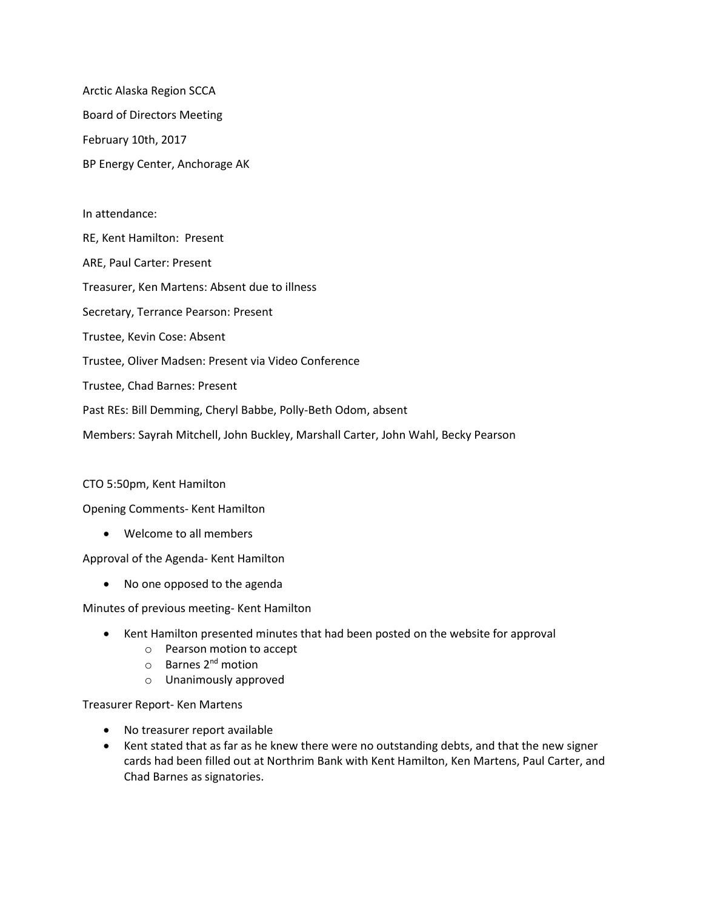Arctic Alaska Region SCCA Board of Directors Meeting February 10th, 2017 BP Energy Center, Anchorage AK

# In attendance: RE, Kent Hamilton: Present ARE, Paul Carter: Present Treasurer, Ken Martens: Absent due to illness Secretary, Terrance Pearson: Present Trustee, Kevin Cose: Absent Trustee, Oliver Madsen: Present via Video Conference Trustee, Chad Barnes: Present Past REs: Bill Demming, Cheryl Babbe, Polly-Beth Odom, absent Members: Sayrah Mitchell, John Buckley, Marshall Carter, John Wahl, Becky Pearson

### CTO 5:50pm, Kent Hamilton

#### Opening Comments- Kent Hamilton

• Welcome to all members

Approval of the Agenda- Kent Hamilton

• No one opposed to the agenda

Minutes of previous meeting- Kent Hamilton

- Kent Hamilton presented minutes that had been posted on the website for approval
	- o Pearson motion to accept
	- o Barnes 2nd motion
	- o Unanimously approved

Treasurer Report- Ken Martens

- No treasurer report available
- Kent stated that as far as he knew there were no outstanding debts, and that the new signer cards had been filled out at Northrim Bank with Kent Hamilton, Ken Martens, Paul Carter, and Chad Barnes as signatories.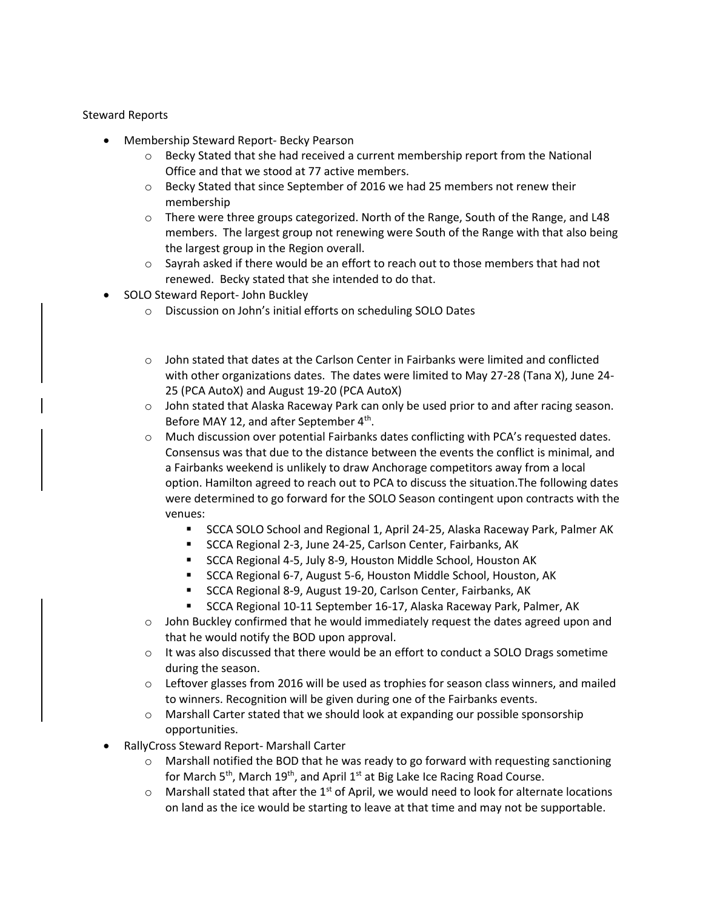#### Steward Reports

- Membership Steward Report- Becky Pearson
	- $\circ$  Becky Stated that she had received a current membership report from the National Office and that we stood at 77 active members.
	- o Becky Stated that since September of 2016 we had 25 members not renew their membership
	- $\circ$  There were three groups categorized. North of the Range, South of the Range, and L48 members. The largest group not renewing were South of the Range with that also being the largest group in the Region overall.
	- $\circ$  Sayrah asked if there would be an effort to reach out to those members that had not renewed. Becky stated that she intended to do that.
- SOLO Steward Report- John Buckley
	- o Discussion on John's initial efforts on scheduling SOLO Dates
	- o John stated that dates at the Carlson Center in Fairbanks were limited and conflicted with other organizations dates. The dates were limited to May 27-28 (Tana X), June 24- 25 (PCA AutoX) and August 19-20 (PCA AutoX)
	- o John stated that Alaska Raceway Park can only be used prior to and after racing season. Before MAY 12, and after September 4<sup>th</sup>.
	- o Much discussion over potential Fairbanks dates conflicting with PCA's requested dates. Consensus was that due to the distance between the events the conflict is minimal, and a Fairbanks weekend is unlikely to draw Anchorage competitors away from a local option. Hamilton agreed to reach out to PCA to discuss the situation.The following dates were determined to go forward for the SOLO Season contingent upon contracts with the venues:
		- **EXECA SOLO School and Regional 1, April 24-25, Alaska Raceway Park, Palmer AK**
		- SCCA Regional 2-3, June 24-25, Carlson Center, Fairbanks, AK
		- SCCA Regional 4-5, July 8-9, Houston Middle School, Houston AK
		- SCCA Regional 6-7, August 5-6, Houston Middle School, Houston, AK
		- SCCA Regional 8-9, August 19-20, Carlson Center, Fairbanks, AK
		- SCCA Regional 10-11 September 16-17, Alaska Raceway Park, Palmer, AK
	- o John Buckley confirmed that he would immediately request the dates agreed upon and that he would notify the BOD upon approval.
	- $\circ$  It was also discussed that there would be an effort to conduct a SOLO Drags sometime during the season.
	- $\circ$  Leftover glasses from 2016 will be used as trophies for season class winners, and mailed to winners. Recognition will be given during one of the Fairbanks events.
	- $\circ$  Marshall Carter stated that we should look at expanding our possible sponsorship opportunities.
- RallyCross Steward Report- Marshall Carter
	- $\circ$  Marshall notified the BOD that he was ready to go forward with requesting sanctioning for March 5<sup>th</sup>, March 19<sup>th</sup>, and April 1<sup>st</sup> at Big Lake Ice Racing Road Course.
	- $\circ$  Marshall stated that after the 1<sup>st</sup> of April, we would need to look for alternate locations on land as the ice would be starting to leave at that time and may not be supportable.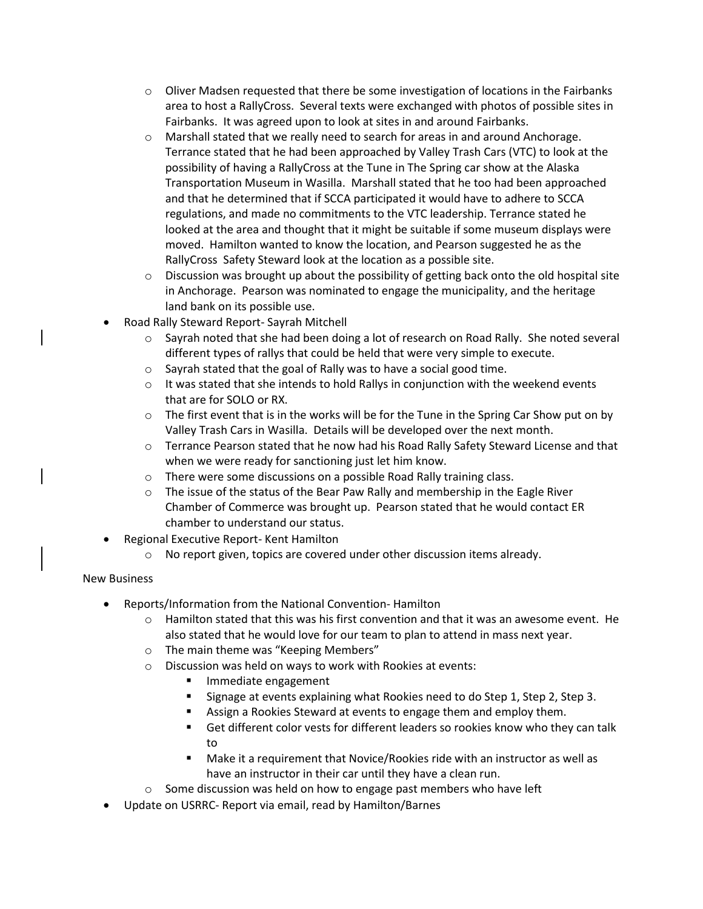- $\circ$  Oliver Madsen requested that there be some investigation of locations in the Fairbanks area to host a RallyCross. Several texts were exchanged with photos of possible sites in Fairbanks. It was agreed upon to look at sites in and around Fairbanks.
- $\circ$  Marshall stated that we really need to search for areas in and around Anchorage. Terrance stated that he had been approached by Valley Trash Cars (VTC) to look at the possibility of having a RallyCross at the Tune in The Spring car show at the Alaska Transportation Museum in Wasilla. Marshall stated that he too had been approached and that he determined that if SCCA participated it would have to adhere to SCCA regulations, and made no commitments to the VTC leadership. Terrance stated he looked at the area and thought that it might be suitable if some museum displays were moved. Hamilton wanted to know the location, and Pearson suggested he as the RallyCross Safety Steward look at the location as a possible site.
- $\circ$  Discussion was brought up about the possibility of getting back onto the old hospital site in Anchorage. Pearson was nominated to engage the municipality, and the heritage land bank on its possible use.
- Road Rally Steward Report- Sayrah Mitchell
	- o Sayrah noted that she had been doing a lot of research on Road Rally. She noted several different types of rallys that could be held that were very simple to execute.
	- o Sayrah stated that the goal of Rally was to have a social good time.
	- $\circ$  It was stated that she intends to hold Rallys in conjunction with the weekend events that are for SOLO or RX.
	- $\circ$  The first event that is in the works will be for the Tune in the Spring Car Show put on by Valley Trash Cars in Wasilla. Details will be developed over the next month.
	- $\circ$  Terrance Pearson stated that he now had his Road Rally Safety Steward License and that when we were ready for sanctioning just let him know.
	- o There were some discussions on a possible Road Rally training class.
	- o The issue of the status of the Bear Paw Rally and membership in the Eagle River Chamber of Commerce was brought up. Pearson stated that he would contact ER chamber to understand our status.
- Regional Executive Report- Kent Hamilton
	- o No report given, topics are covered under other discussion items already.

## New Business

- Reports/Information from the National Convention- Hamilton
	- $\circ$  Hamilton stated that this was his first convention and that it was an awesome event. He also stated that he would love for our team to plan to attend in mass next year.
	- o The main theme was "Keeping Members"
	- o Discussion was held on ways to work with Rookies at events:
		- Immediate engagement
		- Signage at events explaining what Rookies need to do Step 1, Step 2, Step 3.
		- Assign a Rookies Steward at events to engage them and employ them.
		- Get different color vests for different leaders so rookies know who they can talk to
		- Make it a requirement that Novice/Rookies ride with an instructor as well as have an instructor in their car until they have a clean run.
	- o Some discussion was held on how to engage past members who have left
- Update on USRRC- Report via email, read by Hamilton/Barnes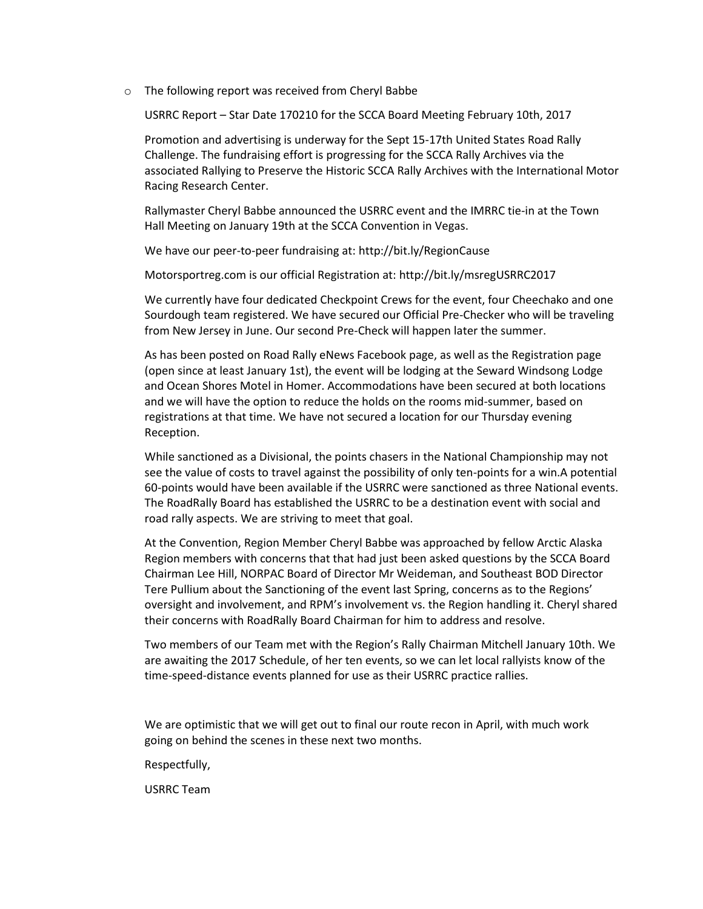o The following report was received from Cheryl Babbe

USRRC Report – Star Date 170210 for the SCCA Board Meeting February 10th, 2017

Promotion and advertising is underway for the Sept 15-17th United States Road Rally Challenge. The fundraising effort is progressing for the SCCA Rally Archives via the associated Rallying to Preserve the Historic SCCA Rally Archives with the International Motor Racing Research Center.

Rallymaster Cheryl Babbe announced the USRRC event and the IMRRC tie-in at the Town Hall Meeting on January 19th at the SCCA Convention in Vegas.

We have our peer-to-peer fundraising at: http://bit.ly/RegionCause

Motorsportreg.com is our official Registration at: http://bit.ly/msregUSRRC2017

We currently have four dedicated Checkpoint Crews for the event, four Cheechako and one Sourdough team registered. We have secured our Official Pre-Checker who will be traveling from New Jersey in June. Our second Pre-Check will happen later the summer.

As has been posted on Road Rally eNews Facebook page, as well as the Registration page (open since at least January 1st), the event will be lodging at the Seward Windsong Lodge and Ocean Shores Motel in Homer. Accommodations have been secured at both locations and we will have the option to reduce the holds on the rooms mid-summer, based on registrations at that time. We have not secured a location for our Thursday evening Reception.

While sanctioned as a Divisional, the points chasers in the National Championship may not see the value of costs to travel against the possibility of only ten-points for a win.A potential 60-points would have been available if the USRRC were sanctioned as three National events. The RoadRally Board has established the USRRC to be a destination event with social and road rally aspects. We are striving to meet that goal.

At the Convention, Region Member Cheryl Babbe was approached by fellow Arctic Alaska Region members with concerns that that had just been asked questions by the SCCA Board Chairman Lee Hill, NORPAC Board of Director Mr Weideman, and Southeast BOD Director Tere Pullium about the Sanctioning of the event last Spring, concerns as to the Regions' oversight and involvement, and RPM's involvement vs. the Region handling it. Cheryl shared their concerns with RoadRally Board Chairman for him to address and resolve.

Two members of our Team met with the Region's Rally Chairman Mitchell January 10th. We are awaiting the 2017 Schedule, of her ten events, so we can let local rallyists know of the time-speed-distance events planned for use as their USRRC practice rallies.

We are optimistic that we will get out to final our route recon in April, with much work going on behind the scenes in these next two months.

Respectfully,

USRRC Team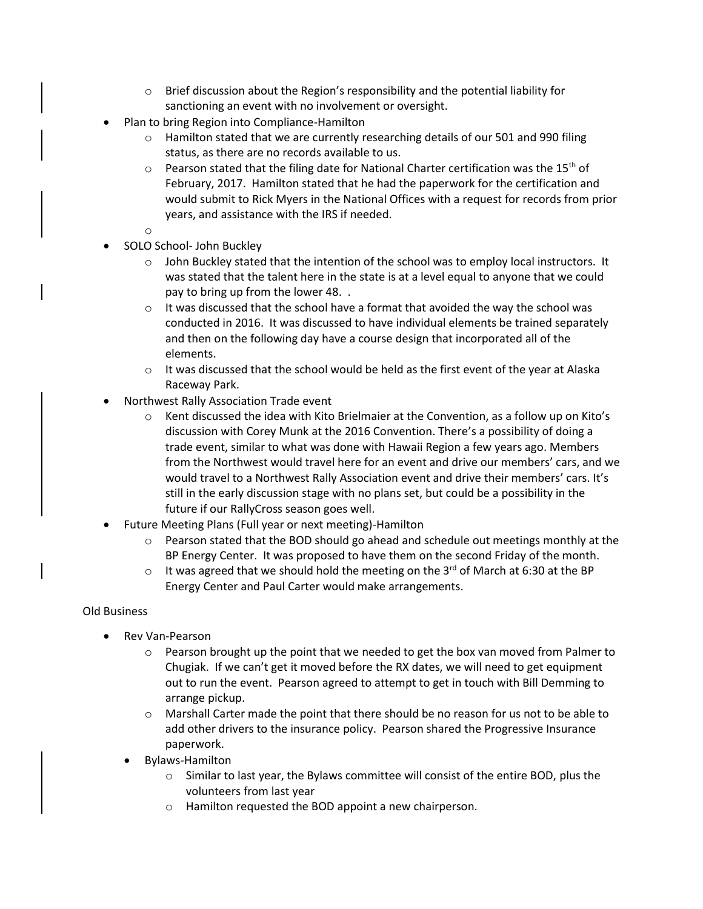- $\circ$  Brief discussion about the Region's responsibility and the potential liability for sanctioning an event with no involvement or oversight.
- Plan to bring Region into Compliance-Hamilton
	- $\circ$  Hamilton stated that we are currently researching details of our 501 and 990 filing status, as there are no records available to us.
	- $\circ$  Pearson stated that the filing date for National Charter certification was the 15<sup>th</sup> of February, 2017. Hamilton stated that he had the paperwork for the certification and would submit to Rick Myers in the National Offices with a request for records from prior years, and assistance with the IRS if needed.
	- o
- SOLO School- John Buckley
	- $\circ$  John Buckley stated that the intention of the school was to employ local instructors. It was stated that the talent here in the state is at a level equal to anyone that we could pay to bring up from the lower 48. .
	- $\circ$  It was discussed that the school have a format that avoided the way the school was conducted in 2016. It was discussed to have individual elements be trained separately and then on the following day have a course design that incorporated all of the elements.
	- $\circ$  It was discussed that the school would be held as the first event of the year at Alaska Raceway Park.
- Northwest Rally Association Trade event
	- $\circ$  Kent discussed the idea with Kito Brielmaier at the Convention, as a follow up on Kito's discussion with Corey Munk at the 2016 Convention. There's a possibility of doing a trade event, similar to what was done with Hawaii Region a few years ago. Members from the Northwest would travel here for an event and drive our members' cars, and we would travel to a Northwest Rally Association event and drive their members' cars. It's still in the early discussion stage with no plans set, but could be a possibility in the future if our RallyCross season goes well.
- Future Meeting Plans (Full year or next meeting)-Hamilton
	- $\circ$  Pearson stated that the BOD should go ahead and schedule out meetings monthly at the BP Energy Center. It was proposed to have them on the second Friday of the month.
	- $\circ$  It was agreed that we should hold the meeting on the 3<sup>rd</sup> of March at 6:30 at the BP Energy Center and Paul Carter would make arrangements.

### Old Business

- Rev Van-Pearson
	- $\circ$  Pearson brought up the point that we needed to get the box van moved from Palmer to Chugiak. If we can't get it moved before the RX dates, we will need to get equipment out to run the event. Pearson agreed to attempt to get in touch with Bill Demming to arrange pickup.
	- o Marshall Carter made the point that there should be no reason for us not to be able to add other drivers to the insurance policy. Pearson shared the Progressive Insurance paperwork.
	- Bylaws-Hamilton
		- $\circ$  Similar to last year, the Bylaws committee will consist of the entire BOD, plus the volunteers from last year
		- o Hamilton requested the BOD appoint a new chairperson.